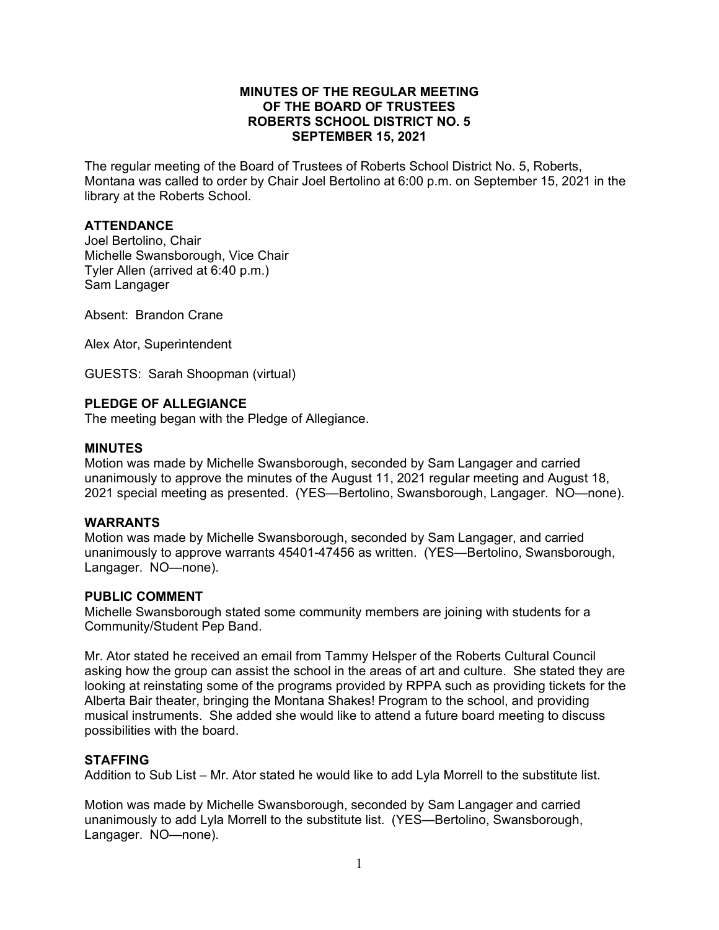## **MINUTES OF THE REGULAR MEETING OF THE BOARD OF TRUSTEES ROBERTS SCHOOL DISTRICT NO. 5 SEPTEMBER 15, 2021**

The regular meeting of the Board of Trustees of Roberts School District No. 5, Roberts, Montana was called to order by Chair Joel Bertolino at 6:00 p.m. on September 15, 2021 in the library at the Roberts School.

# **ATTENDANCE**

Joel Bertolino, Chair Michelle Swansborough, Vice Chair Tyler Allen (arrived at 6:40 p.m.) Sam Langager

Absent: Brandon Crane

Alex Ator, Superintendent

GUESTS: Sarah Shoopman (virtual)

### **PLEDGE OF ALLEGIANCE**

The meeting began with the Pledge of Allegiance.

#### **MINUTES**

Motion was made by Michelle Swansborough, seconded by Sam Langager and carried unanimously to approve the minutes of the August 11, 2021 regular meeting and August 18, 2021 special meeting as presented. (YES—Bertolino, Swansborough, Langager. NO—none).

### **WARRANTS**

Motion was made by Michelle Swansborough, seconded by Sam Langager, and carried unanimously to approve warrants 45401-47456 as written. (YES—Bertolino, Swansborough, Langager. NO—none).

### **PUBLIC COMMENT**

Michelle Swansborough stated some community members are joining with students for a Community/Student Pep Band.

Mr. Ator stated he received an email from Tammy Helsper of the Roberts Cultural Council asking how the group can assist the school in the areas of art and culture. She stated they are looking at reinstating some of the programs provided by RPPA such as providing tickets for the Alberta Bair theater, bringing the Montana Shakes! Program to the school, and providing musical instruments. She added she would like to attend a future board meeting to discuss possibilities with the board.

### **STAFFING**

Addition to Sub List – Mr. Ator stated he would like to add Lyla Morrell to the substitute list.

Motion was made by Michelle Swansborough, seconded by Sam Langager and carried unanimously to add Lyla Morrell to the substitute list. (YES—Bertolino, Swansborough, Langager. NO—none).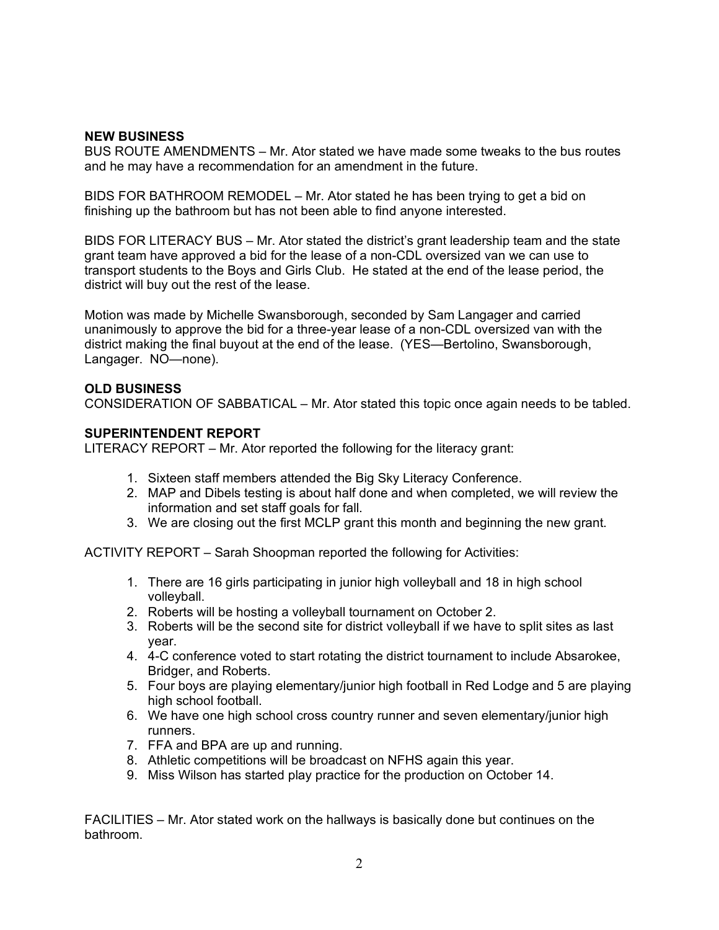### **NEW BUSINESS**

BUS ROUTE AMENDMENTS – Mr. Ator stated we have made some tweaks to the bus routes and he may have a recommendation for an amendment in the future.

BIDS FOR BATHROOM REMODEL – Mr. Ator stated he has been trying to get a bid on finishing up the bathroom but has not been able to find anyone interested.

BIDS FOR LITERACY BUS – Mr. Ator stated the district's grant leadership team and the state grant team have approved a bid for the lease of a non-CDL oversized van we can use to transport students to the Boys and Girls Club. He stated at the end of the lease period, the district will buy out the rest of the lease.

Motion was made by Michelle Swansborough, seconded by Sam Langager and carried unanimously to approve the bid for a three-year lease of a non-CDL oversized van with the district making the final buyout at the end of the lease. (YES—Bertolino, Swansborough, Langager. NO—none).

## **OLD BUSINESS**

CONSIDERATION OF SABBATICAL – Mr. Ator stated this topic once again needs to be tabled.

## **SUPERINTENDENT REPORT**

LITERACY REPORT – Mr. Ator reported the following for the literacy grant:

- 1. Sixteen staff members attended the Big Sky Literacy Conference.
- 2. MAP and Dibels testing is about half done and when completed, we will review the information and set staff goals for fall.
- 3. We are closing out the first MCLP grant this month and beginning the new grant.

ACTIVITY REPORT – Sarah Shoopman reported the following for Activities:

- 1. There are 16 girls participating in junior high volleyball and 18 in high school volleyball.
- 2. Roberts will be hosting a volleyball tournament on October 2.
- 3. Roberts will be the second site for district volleyball if we have to split sites as last year.
- 4. 4-C conference voted to start rotating the district tournament to include Absarokee, Bridger, and Roberts.
- 5. Four boys are playing elementary/junior high football in Red Lodge and 5 are playing high school football.
- 6. We have one high school cross country runner and seven elementary/junior high runners.
- 7. FFA and BPA are up and running.
- 8. Athletic competitions will be broadcast on NFHS again this year.
- 9. Miss Wilson has started play practice for the production on October 14.

FACILITIES – Mr. Ator stated work on the hallways is basically done but continues on the bathroom.